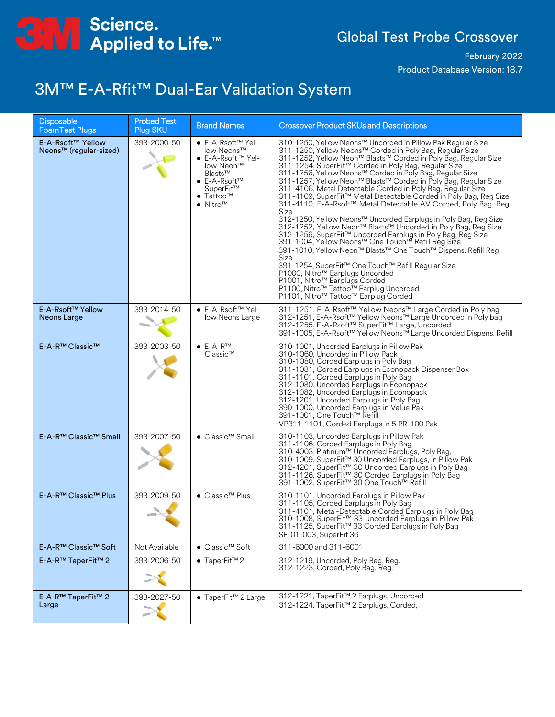

February 2022 Product Database Version: 18.7

#### 3M™ E-A-Rfit™ Dual-Ear Validation System

| <b>Disposable</b><br><b>FoamTest Plugs</b>              | <b>Probed Test</b><br>Plug SKU | <b>Brand Names</b>                                                                                                                                                                    | <b>Crossover Product SKUs and Descriptions</b>                                                                                                                                                                                                                                                                                                                                                                                                                                                                                                                                                                                                                                                                                                                                                                                                                                                                                                                                                                                                                                                                                                |
|---------------------------------------------------------|--------------------------------|---------------------------------------------------------------------------------------------------------------------------------------------------------------------------------------|-----------------------------------------------------------------------------------------------------------------------------------------------------------------------------------------------------------------------------------------------------------------------------------------------------------------------------------------------------------------------------------------------------------------------------------------------------------------------------------------------------------------------------------------------------------------------------------------------------------------------------------------------------------------------------------------------------------------------------------------------------------------------------------------------------------------------------------------------------------------------------------------------------------------------------------------------------------------------------------------------------------------------------------------------------------------------------------------------------------------------------------------------|
| E-A-Rsoft™ Yellow<br>Neons <sup>™</sup> (regular-sized) | 393-2000-50                    | ● E-A-Rsoft™ Yel-<br>low Neons™<br>$\bullet$ E-A-Rsoft $M$ Yel-<br>low Neon™<br>Blasts™<br>$\bullet$ E-A-Rsoft <sup>TM</sup><br>SuperFit™<br>Taṫtoo™<br>$\bullet$ Nitro <sup>TM</sup> | 310-1250, Yellow Neons™ Uncorded in Pillow Pak Regular Size<br>311-1250, Yellow Neons™ Corded in Poly Bag, Regular Size<br>311-1252, Yellow Neon™ Blasts™ Corded in Poly Bag, Regular Size<br>311-1254, SuperFit™ Corded in Poly Bag, Regular Size<br>311-1256, Yellow Neons™ Corded in Poly Bag, Regular Size<br>311-1257, Yellow Neon™ Blasts™ Corded in Poly Bag, Regular Size<br>311-4106, Metal Detectable Corded in Poly Bag, Regular Size<br>311-4109, SuperFit™ Metal Detectable Corded in Poly Bag, Reg Size<br>311-4110, E-A-Rsoft™ Metal Detectable AV Corded, Poly Bag, Reg<br>Size<br>312-1250, Yellow Neons™ Uncorded Earplugs in Poly Bag, Reg Size<br>312-1252, Yellow Neon™ Blasts™ Uncorded in Poly Bag, Reg Size<br>312-1256, SuperFit™ Uncorded Earplugs in Poly Bag, Reg Size<br>391-1004, Yellow Neons™ One Touch™ Refill Reg Size<br>391-1010, Yellow Neon™ Blasts™ One Touch™ Dispens. Refill Reg<br>Size<br>391-1254, SuperFit™ One Touch™ Refill Regular Size<br>P1000, Nitro™ Earplugs Uncorded<br>P1001, Nitro™ Earplugs Corded<br>P1100, Nitro™ Tattoo™ Earplug Uncorded<br>P1101, Nitro™ Tattoo™ Earplug Corded |
| E-A-Rsoft™ Yellow<br>Neons Large                        | 393-2014-50                    | • E-A-Rsoft™ Yel-<br>low Neons Large                                                                                                                                                  | 311-1251, E-A-Rsoft™ Yellow Neons™ Large Corded in Poly bag<br>312-1251, E-A-Rsoft™ Yellow Neons™ Large Uncorded in Poly bag<br>312-1255, E-A-Rsoft™ SuperFit™ Large, Uncorded<br>391-1005, E-A-Rsoft™ Yellow Neons™ Large Uncorded Dispens. Refill                                                                                                                                                                                                                                                                                                                                                                                                                                                                                                                                                                                                                                                                                                                                                                                                                                                                                           |
| E-A-R™ Classic™                                         | 393-2003-50                    | $\bullet$ E-A-R <sup>TM</sup><br>Classic™                                                                                                                                             | 310-1001, Uncorded Earplugs in Pillow Pak<br>310-1060, Uncorded in Pillow Pack<br>310-1080, Corded Earplugs in Poly Bag<br>311-1081, Corded Earplugs in Econopack Dispenser Box<br>311-1101, Corded Earplugs in Poly Bag<br>312-1080, Uncorded Earplugs in Econopack<br>312-1082, Uncorded Earplugs in Econopack<br>312-1201, Uncorded Earplugs in Poly Bag<br>390-1000, Uncorded Earplugs in Value Pak<br>391-1001, One Touch™ Refill<br>VP311-1101, Corded Earplugs in 5 PR-100 Pak                                                                                                                                                                                                                                                                                                                                                                                                                                                                                                                                                                                                                                                         |
| E-A-R™ Classic™ Small                                   | 393-2007-50                    | ● Classic™ Small                                                                                                                                                                      | 310-1103, Uncorded Earplugs in Pillow Pak<br>311-1106, Corded Earplugs in Poly Bag<br>310-4003, Platinum™ Uncorded Earplugs, Poly Bag,<br>310-1009, SuperFit™ 30 Uncorded Earplugs, in Pillow Pak<br>312-4201, SuperFit™ 30 Uncorded Earplugs in Poly Bag<br>311-1126, SuperFit™ 30 Corded Earplugs in Poly Bag<br>391-1002, SuperFit™ 30 One Touch™ Refill                                                                                                                                                                                                                                                                                                                                                                                                                                                                                                                                                                                                                                                                                                                                                                                   |
| E-A-R™ Classic™ Plus                                    | 393-2009-50                    | $\bullet$ Classic <sup>TM</sup> Plus                                                                                                                                                  | 310-1101, Uncorded Earplugs in Pillow Pak<br>311-1105, Corded Earplugs in Poly Bag<br>311-4101, Metal-Detectable Corded Earplugs in Poly Bag<br>310-1008, SuperFit™ 33 Uncorded Earplugs in Pillow Pak<br>311-1125, SuperFit™ 33 Corded Earplugs in Poly Bag<br>SF-01-003, SuperFit 36                                                                                                                                                                                                                                                                                                                                                                                                                                                                                                                                                                                                                                                                                                                                                                                                                                                        |
| E-A-R™ Classic™ Soft                                    | Not Available                  | ● Classic™ Soft                                                                                                                                                                       | 311-6000 and 311-6001                                                                                                                                                                                                                                                                                                                                                                                                                                                                                                                                                                                                                                                                                                                                                                                                                                                                                                                                                                                                                                                                                                                         |
| E-A-R™ TaperFit™ 2                                      | 393-2006-50                    | $\bullet$ TaperFit <sup>TM</sup> 2                                                                                                                                                    | 312-1219, Uncorded, Poly Bag, Reg.<br>312-1223, Corded, Poly Bag, Reg.                                                                                                                                                                                                                                                                                                                                                                                                                                                                                                                                                                                                                                                                                                                                                                                                                                                                                                                                                                                                                                                                        |
| E-A-R™ TaperFit™ 2<br>Large                             | 393-2027-50                    | $\bullet$ TaperFit <sup>TM</sup> 2 Large                                                                                                                                              | 312-1221, TaperFit™ 2 Earplugs, Uncorded<br>312-1224, TaperFit™ 2 Earplugs, Corded,                                                                                                                                                                                                                                                                                                                                                                                                                                                                                                                                                                                                                                                                                                                                                                                                                                                                                                                                                                                                                                                           |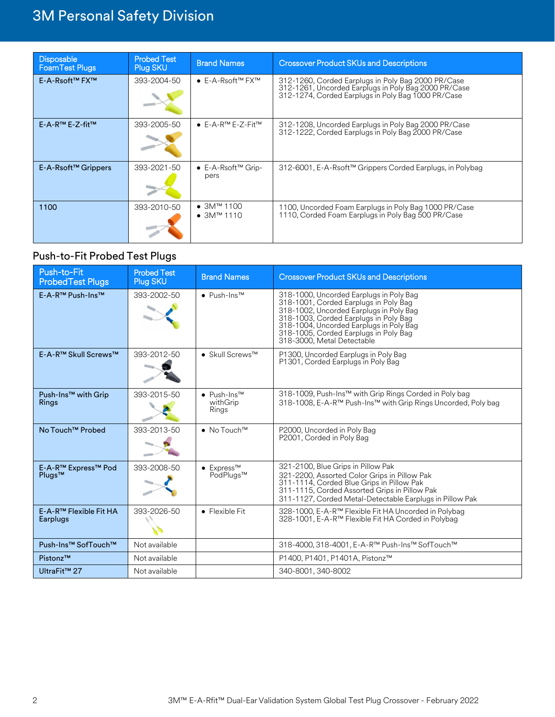| <b>Disposable</b><br><b>FoamTest Plugs</b> | <b>Probed Test</b><br><b>Plug SKU</b> | <b>Brand Names</b>                                  | <b>Crossover Product SKUs and Descriptions</b>                                                                                                                   |
|--------------------------------------------|---------------------------------------|-----------------------------------------------------|------------------------------------------------------------------------------------------------------------------------------------------------------------------|
| E-A-Rsoft™ FX™                             | 393-2004-50                           | $\bullet$ E-A-Rsoft <sup>TM</sup> FX <sup>TM</sup>  | 312-1260, Corded Earplugs in Poly Bag 2000 PR/Case<br>312-1261, Uncorded Earplugs in Poly Bag 2000 PR/Case<br>312-1274, Corded Earplugs in Poly Bag 1000 PR/Case |
| E-A-R™ E-Z-fit™                            | 393-2005-50                           | $\bullet$ E-A-R <sup>TM</sup> E-Z-Fit <sup>TM</sup> | 312-1208, Uncorded Earplugs in Poly Bag 2000 PR/Case<br>312-1222, Corded Earplugs in Poly Bag 2000 PR/Case                                                       |
| E-A-Rsoft™ Grippers                        | 393-2021-50                           | $\bullet$ E-A-Rsoft <sup>TM</sup> Grip-<br>pers     | 312-6001, E-A-Rsoft™ Grippers Corded Earplugs, in Polybag                                                                                                        |
| 1100                                       | 393-2010-50                           | • $3M^{TM}$ 1100<br>• $3M^{TM}$ 1110                | 1100, Uncorded Foam Earplugs in Poly Bag 1000 PR/Case<br>1110, Corded Foam Earplugs in Poly Bag 500 PR/Case                                                      |

#### Push-to-Fit Probed Test Plugs

| Push-to-Fit<br><b>ProbedTest Plugs</b>          | <b>Probed Test</b><br>Plug SKU | <b>Brand Names</b>                                    | <b>Crossover Product SKUs and Descriptions</b>                                                                                                                                                                                                                                         |
|-------------------------------------------------|--------------------------------|-------------------------------------------------------|----------------------------------------------------------------------------------------------------------------------------------------------------------------------------------------------------------------------------------------------------------------------------------------|
| E-A-R <sup>™</sup> Push-Ins™                    | 393-2002-50                    | $\bullet$ Push-Ins <sup>TM</sup>                      | 318-1000, Uncorded Earplugs in Poly Bag<br>318-1001, Corded Earplugs in Poly Bag<br>318-1002, Uncorded Earplugs in Poly Bag<br>318-1003, Corded Earplugs in Poly Bag<br>318-1004, Uncorded Earplugs in Poly Bag<br>318-1005, Corded Earplugs in Poly Bag<br>318-3000. Metal Detectable |
| E-A-R™ Skull Screws™                            | 393-2012-50                    | $\bullet$ Skull Screws <sup>TM</sup>                  | P1300, Uncorded Earplugs in Poly Bag<br>P1301, Corded Earplugs in Poly Bag                                                                                                                                                                                                             |
| Push-Ins <sup>™</sup> with Grip<br><b>Rings</b> | 393-2015-50                    | $\bullet$ Push-Ins <sup>TM</sup><br>withGrip<br>Rings | 318-1009, Push-Ins™ with Grip Rings Corded in Poly bag<br>318-1008, E-A-R™ Push-Ins™ with Grip Rings Uncorded, Poly bag                                                                                                                                                                |
| No Touch <sup>™</sup> Probed                    | 393-2013-50                    | $\bullet$ No Touch <sup>TM</sup>                      | P2000, Uncorded in Poly Bag<br>P2001, Corded in Poly Bag                                                                                                                                                                                                                               |
| E-A-R™ Express™ Pod<br>Plugs™                   | 393-2008-50                    | $\bullet$ Express <sup>TM</sup><br>PodPlugs™          | 321-2100, Blue Grips in Pillow Pak<br>321-2200, Assorted Color Grips in Pillow Pak<br>311-1114, Corded Blue Grips in Pillow Pak<br>311-1115, Corded Assorted Grips in Pillow Pak<br>311-1127, Corded Metal-Detectable Earplugs in Pillow Pak                                           |
| E-A-R <sup>™</sup> Flexible Fit HA<br>Earplugs  | 393-2026-50                    | $\bullet$ Flexible Fit                                | 328-1000, E-A-R™ Flexible Fit HA Uncorded in Polybag<br>328-1001, E-A-R™ Flexible Fit HA Corded in Polybag                                                                                                                                                                             |
| Push-Ins <sup>™</sup> SofTouch™                 | Not available                  |                                                       | 318-4000, 318-4001, E-A-R™ Push-Ins™ SofTouch™                                                                                                                                                                                                                                         |
| Pistonz™                                        | Not available                  |                                                       | P1400, P1401, P1401A, Pistonz™                                                                                                                                                                                                                                                         |
| UltraFit <sup>™</sup> 27                        | Not available                  |                                                       | 340-8001, 340-8002                                                                                                                                                                                                                                                                     |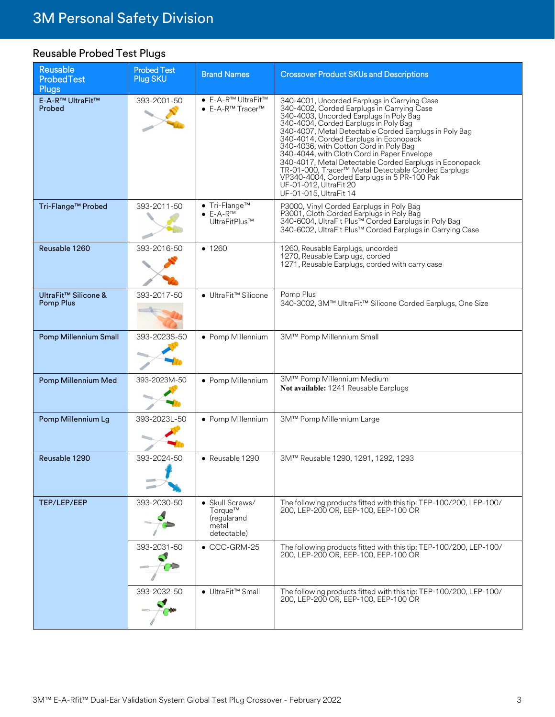#### Reusable Probed Test Plugs

| Reusable<br>ProbedTest<br><b>Plugs</b> | <b>Probed Test</b><br>Plug SKU | <b>Brand Names</b>                                                                   | <b>Crossover Product SKUs and Descriptions</b>                                                                                                                                                                                                                                                                                                                                                                                                                                                                                                                                                   |
|----------------------------------------|--------------------------------|--------------------------------------------------------------------------------------|--------------------------------------------------------------------------------------------------------------------------------------------------------------------------------------------------------------------------------------------------------------------------------------------------------------------------------------------------------------------------------------------------------------------------------------------------------------------------------------------------------------------------------------------------------------------------------------------------|
| E-A-R™ UltraFit™<br>Probed             | 393-2001-50                    | ● E-A-R™ UltraFit™<br>$\bullet$ E-A-R <sup>™</sup> Tracer <sup>™</sup>               | 340-4001, Uncorded Earplugs in Carrying Case<br>340-4002, Corded Earplugs in Carrying Case<br>340-4003, Uncorded Earplugs in Poly Bag<br>340-4004, Corded Earplugs in Poly Bag<br>340-4007, Metal Detectable Corded Earplugs in Poly Bag<br>340-4014, Corded Earplugs in Econopack<br>340-4036, with Cotton Cord in Poly Bag<br>340-4044, with Cloth Cord in Paper Envelope<br>340-4017, Metal Detectable Corded Earplugs in Econopack<br>TR-01-000, Tracer™ Metal Detectable Corded Earplugs<br>VP340-4004, Corded Earplugs in 5 PR-100 Pak<br>UF-01-012, ÚltraFit 20<br>UF-01-015, UltraFit 14 |
| Tri-Flange™ Probed                     | 393-2011-50                    | $\bullet$ Tri-Flange <sup>TM</sup><br>$\bullet$ E-A-R <sup>TM</sup><br>UltraFitPlus™ | P3000, Vinyl Corded Earplugs in Poly Bag<br>P3001, Cloth Corded Earplugs in Poly Bag<br>340-6004, UltraFit Plus™ Corded Earplugs in Poly Bag<br>340-6002, UltraFit Plus™ Corded Earplugs in Carrying Case                                                                                                                                                                                                                                                                                                                                                                                        |
| Reusable 1260                          | 393-2016-50                    | • 1260                                                                               | 1260, Reusable Earplugs, uncorded<br>1270, Reusable Earplugs, corded<br>1271, Reusable Earplugs, corded with carry case                                                                                                                                                                                                                                                                                                                                                                                                                                                                          |
| UltraFit™ Silicone &<br>Pomp Plus      | 393-2017-50                    | ● UltraFit™ Silicone                                                                 | Pomp Plus<br>340-3002, 3M™ UltraFit™ Silicone Corded Earplugs, One Size                                                                                                                                                                                                                                                                                                                                                                                                                                                                                                                          |
| Pomp Millennium Small                  | 393-2023S-50                   | • Pomp Millennium                                                                    | 3M™ Pomp Millennium Small                                                                                                                                                                                                                                                                                                                                                                                                                                                                                                                                                                        |
| Pomp Millennium Med                    | 393-2023M-50                   | • Pomp Millennium                                                                    | 3M™ Pomp Millennium Medium<br>Not available: 1241 Reusable Earplugs                                                                                                                                                                                                                                                                                                                                                                                                                                                                                                                              |
| Pomp Millennium Lg                     | 393-20231-50                   | • Pomp Millennium                                                                    | 3M™ Pomp Millennium Large                                                                                                                                                                                                                                                                                                                                                                                                                                                                                                                                                                        |
| Reusable 1290                          | 393-2024-50                    | $\bullet$ Reusable 1290                                                              | 3M™ Reusable 1290, 1291, 1292, 1293                                                                                                                                                                                                                                                                                                                                                                                                                                                                                                                                                              |
| TEP/LEP/EEP                            | 393-2030-50                    | • Skull Screws/<br>Torque™<br>(regularand<br>metal<br>detectable)                    | The following products fitted with this tip: TEP-100/200, LEP-100/<br>200. LEP-200 OR. EEP-100. EEP-100 OR                                                                                                                                                                                                                                                                                                                                                                                                                                                                                       |
|                                        | 393-2031-50                    | $\bullet$ CCC-GRM-25                                                                 | The following products fitted with this tip: TEP-100/200, LEP-100/<br>200, LEP-200 OR, EEP-100, EEP-100 OR                                                                                                                                                                                                                                                                                                                                                                                                                                                                                       |
|                                        | 393-2032-50                    | ● UltraFit™ Small                                                                    | The following products fitted with this tip: TEP-100/200, LEP-100/<br>200, LEP-200 OR, EEP-100, EEP-100 OR                                                                                                                                                                                                                                                                                                                                                                                                                                                                                       |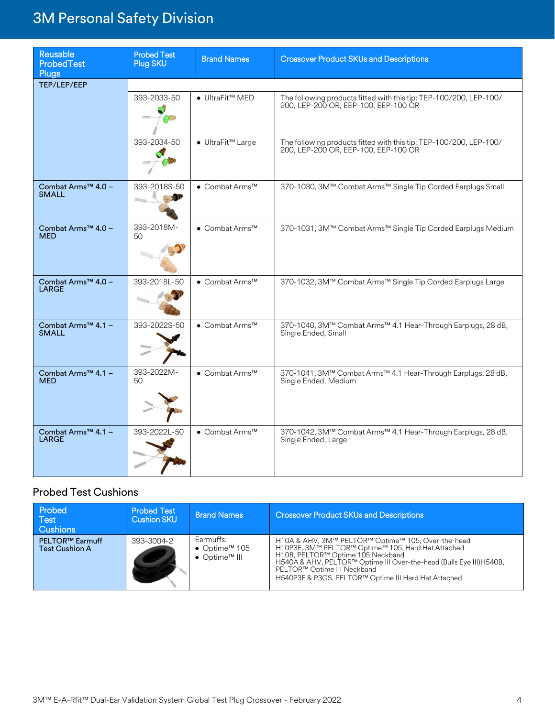| <b>Reusable</b><br><b>ProbedTest</b><br><b>Plugs</b> | <b>Probed Test</b><br>Plug SKU | <b>Brand Names</b> | <b>Crossover Product SKUs and Descriptions</b>                                                             |
|------------------------------------------------------|--------------------------------|--------------------|------------------------------------------------------------------------------------------------------------|
| TEP/LEP/EEP                                          |                                |                    |                                                                                                            |
|                                                      | 393-2033-50                    | ● UltraFit™ MED    | The following products fitted with this tip: TEP-100/200, LEP-100/<br>200, LEP-200 OR, EEP-100, EEP-100 OR |
|                                                      | 393-2034-50                    | ● UltraFit™ Large  | The following products fitted with this tip: TEP-100/200, LEP-100/<br>200, LEP-200 OR, EEP-100, EEP-100 OR |
| Combat Arms™ 4.0 -<br><b>SMALL</b>                   | 393-2018S-50                   | ● Combat Arms™     | 370-1030, 3M™ Combat Arms™ Single Tip Corded Earplugs Small                                                |
| Combat Arms <sup>™</sup> 4.0 -<br><b>MED</b>         | 393-2018M-<br>50               | ● Combat Arms™     | 370-1031, 3M™ Combat Arms™ Single Tip Corded Earplugs Medium                                               |
| Combat Arms™ 4.0 -<br><b>LARGE</b>                   | 393-2018L-50                   | ● Combat Arms™     | 370-1032, 3M™ Combat Arms™ Single Tip Corded Earplugs Large                                                |
| Combat Arms <sup>™</sup> 4.1 -<br><b>SMALL</b>       | 393-2022S-50                   | ● Combat Arms™     | 370-1040, 3M™ Combat Arms™ 4.1 Hear-Through Earplugs, 28 dB,<br>Single Ended, Small                        |
| Combat Arms™ 4.1 -<br><b>MED</b>                     | 393-2022M-<br>50               | ● Combat Arms™     | 370-1041, 3M™ Combat Arms™ 4.1 Hear-Through Earplugs, 28 dB,<br>Single Ended, Medium                       |
| Combat Arms™ 4.1 -<br><b>LARGE</b>                   | 393-2022L-50                   | ● Combat Arms™     | 370-1042, 3M™ Combat Arms™ 4.1 Hear-Through Earplugs, 28 dB,<br>Single Ended, Large                        |

#### Probed Test Cushions

| Probed<br>Test<br>Cushions                      | <b>Probed Test</b><br><b>Cushion SKU</b> | <b>Brand Names</b>                                                                        | <b>Crossover Product SKUs and Descriptions</b>                                                                                                                                                                                                                                                               |
|-------------------------------------------------|------------------------------------------|-------------------------------------------------------------------------------------------|--------------------------------------------------------------------------------------------------------------------------------------------------------------------------------------------------------------------------------------------------------------------------------------------------------------|
| <b>PELTOR™ Earmuff</b><br><b>Test Cushion A</b> | 393-3004-2                               | Earmuffs:<br>• Optime <sup><math>m</math></sup> 105<br>$\bullet$ Optime <sup>TM</sup> III | H10A & AHV, 3M™ PELTOR™ Optime™ 105, Over-the-head<br>H10P3E, 3M™ PELTOR™ Optime™ 105, Hard Hat Attached<br>H10B, PELTOR™ Optime 105 Neckband<br>H540A & AHV, PELTOR™ Optime III Over-the-head (Bulls Eye III) H540B,<br>PELTOR™ Optime III Neckband<br>H540P3E & P3GS, PELTOR™ Optime III Hard Hat Attached |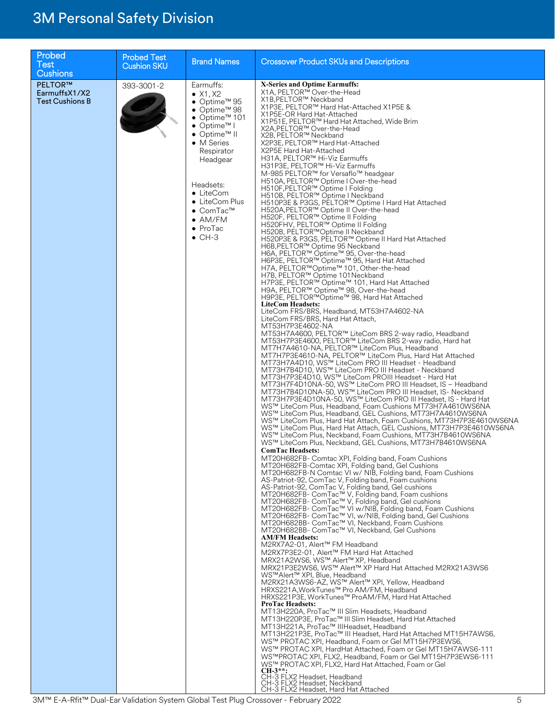| Probed<br><b>Test</b><br><b>Cushions</b>                  | <b>Probed Test</b><br><b>Cushion SKU</b> | <b>Brand Names</b>                                                                                                                                                                                                                                                                                                                            | <b>Crossover Product SKUs and Descriptions</b>                                                                                                                                                                                                                                                                                                                                                                                                                                                                                                                                                                                                                                                                                                                                                                                                                                                                                                                                                                                                                                                                                                                                                                                                                                                                                                                                                                                                                                                                                                                                                                                                                                                                                                                                                                                                                                                                                                                                                                                                                                                                                                                                                                                                                                                                                                                                                                                                                                                                                                                                                                                                                                                                                                                                                                                                                                                                                                                                                                                                                                                                                                                                                                                                                                                                                                                                                                                                                                                                                                                                                                                                                                                                                                                                                                                                                                                                                                                                                                                     |
|-----------------------------------------------------------|------------------------------------------|-----------------------------------------------------------------------------------------------------------------------------------------------------------------------------------------------------------------------------------------------------------------------------------------------------------------------------------------------|------------------------------------------------------------------------------------------------------------------------------------------------------------------------------------------------------------------------------------------------------------------------------------------------------------------------------------------------------------------------------------------------------------------------------------------------------------------------------------------------------------------------------------------------------------------------------------------------------------------------------------------------------------------------------------------------------------------------------------------------------------------------------------------------------------------------------------------------------------------------------------------------------------------------------------------------------------------------------------------------------------------------------------------------------------------------------------------------------------------------------------------------------------------------------------------------------------------------------------------------------------------------------------------------------------------------------------------------------------------------------------------------------------------------------------------------------------------------------------------------------------------------------------------------------------------------------------------------------------------------------------------------------------------------------------------------------------------------------------------------------------------------------------------------------------------------------------------------------------------------------------------------------------------------------------------------------------------------------------------------------------------------------------------------------------------------------------------------------------------------------------------------------------------------------------------------------------------------------------------------------------------------------------------------------------------------------------------------------------------------------------------------------------------------------------------------------------------------------------------------------------------------------------------------------------------------------------------------------------------------------------------------------------------------------------------------------------------------------------------------------------------------------------------------------------------------------------------------------------------------------------------------------------------------------------------------------------------------------------------------------------------------------------------------------------------------------------------------------------------------------------------------------------------------------------------------------------------------------------------------------------------------------------------------------------------------------------------------------------------------------------------------------------------------------------------------------------------------------------------------------------------------------------------------------------------------------------------------------------------------------------------------------------------------------------------------------------------------------------------------------------------------------------------------------------------------------------------------------------------------------------------------------------------------------------------------------------------------------------------------------------------------------------|
| <b>PELTOR™</b><br>EarmuffsX1/X2<br><b>Test Cushions B</b> | 393-3001-2                               | Earmuffs:<br>$\bullet$ X1, X2<br>● Optime™ 95<br>$\bullet$ Optime <sup>TM</sup> 98<br>● Optime™ 101<br>$\bullet$ Optime <sup>TM</sup> I<br>● Optime™ II<br>• M Series<br>Respirator<br>Headgear<br>Headsets:<br>$\bullet$ LiteCom<br>• LiteCom Plus<br>$\bullet$ ComTac <sup>™</sup><br>$\bullet$ AM/FM<br>$\bullet$ ProTac<br>$\bullet$ CH-3 | X-Series and Optime Earmuffs:<br>X1A, PELTOR™ Over-the-Head<br>X1B, PELTOR™ Neckband<br>X1P3E, PELTOR™ Hard Hat-Attached X1P5E &<br>X1P5E-OR Hard Hat-Attached<br>X1P51E, PELTOR™ Hard Hat Attached, Wide Brim<br>X2A, PELTOR™ Over-the-Head<br>X2B, PELTOR™ Neckband<br>X2P3E, PELTOR™ Hard Hat-Attached<br>X2P5E Hard Hat-Attached<br>H31A, PELTOR™ Hi-Viz Earmuffs<br>H31P3E, PELTOR™ Hi-Viz Earmuffs<br>M-985 PELTOR™ for Versaflo™ headgear<br>H510A, PELTOR™ Optime I Over-the-head<br>H510F, PELTOR™ Optime I Folding<br>H510B, PELTOR™ Optime I Neckband<br>H510P3E & P3GS, PELTOR™ Optime I Hard Hat Attached<br>H520A, PELTOR™ Optime II Over-the-head<br>H520F, PELTOR™ Optime II Folding<br>H520FHV, PELTOR™ Optime II Folding<br>H520B, PELTOR™Optime II Neckband<br>H520P3E & P3GS, PELTOR™ Optime II Hard Hat Attached<br>H6B, PELTOR™ Optime 95 Neckband<br>H6A, PELTOR™ Optime™ 95, Over-the-head<br>H6P3E, PELTOR™ Optime™ 95, Hard Hat Attached<br>H7A, PELTOR™Optime™ 101, Other-the-head<br>H7B, PELTOR™ Optime 101 Neckband<br>H7P3E, PELTOR™ Optime™ 101, Hard Hat Attached<br>H9A, PELTOR™ Optime™ 98, Over-the-head<br>H9P3E, PELTOR™Optime™ 98, Hard Hat Attached<br><b>LiteCom Headsets:</b><br>LiteCom FRS/BRS, Headband, MT53H7A4602-NA<br>LiteCom FRS/BRS, Hard Hat Attach,<br>MT53H7P3E4602-NA<br>MT53H7A4600, PELTOR™ LiteCom BRS 2-way radio, Headband<br>MT53H7P3E4600, PELTOR™ LiteCom BRS 2-way radio, Hard hat<br>MT7H7A4610-NA, PELTOR™ LiteCom Plus, Headband<br>MT7H7P3E4610-NA, PELTOR™ LiteCom Plus, Hard Hat Attached<br>MT73H7A4D10, WS™ LiteCom PRO III Headset - Headband<br>MT73H7B4D10, WS™ LiteCom PRO III Headset - Neckband<br>MT73H7P3E4D10, WS™ LiteCom PROIII Headset - Hard Hat<br>MT73H7F4D10NA-50, WS™ LiteCom PRO III Headset, IS - Headband<br>MT73H7B4D10NA-50, WS™ LiteCom PRO III Headset, IS- Neckband<br>MT73H7P3E4D10NA-50, WS™ LiteCom PRO III Headset, IS - Hard Hat<br>WS™ LiteCom Plus, Headband, Foam Cushions MT73H7A4610WS6NA<br>WS™ LiteCom Plus. Headband. GEL Cushions. MT73H7A4610WS6NA<br>WS™ LiteCom Plus, Hard Hat Attach, Foam Cushions, MT73H7P3E4610WS6NA<br>WS™ LiteCom Plus, Hard Hat Attach, GEL Cushions, MT73H7P3E4610WS6NA<br>WS™ LiteCom Plus, Neckband, Foam Cushions, MT73H7B4610WS6NA<br>WS™ LiteCom Plus, Neckband, GEL Cushions, MT73H7B4610WS6NA<br>ComTac Headsets:<br>MT20H682FB- Comtac XPI, Folding band, Foam Cushions<br>MT20H682FB-Comtac XPI, Folding band, Gel Cushions<br>MT20H682FB-N Comtac VI w/ NIB, Folding band, Foam Cushions<br>AS-Patriot-92, ComTac V, Folding band, Foam cushions<br>AS-Patriot-92, ComTac V, Folding band, Gel cushions<br>MT20H682FB- ComTac™ V, Folding band, Foam cushions<br>MT20H682FB- ComTac™ V, Folding band, Gel cushions<br>MT20H682FB- ComTac™ VI w/NIB, Folding band, Foam Cushions<br>MT20H682FB- ComTac™ VI, w/NIB, Folding band, Gel Cushions<br>MT20H682BB- ComTac™ VI, Neckband, Foam Cushions<br>MT20H682BB- ComTac™ VI, Neckband, Gel Cushions<br><b>AM/FM Headsets:</b><br>M2RX7A2-01, Alert™ FM Headband<br>M2RX7P3E2-01. Alert™ FM Hard Hat Attached<br>MRX21A2WS6, WS™ Alert™ XP, Headband<br>MRX21P3E2WS6, WS™ Alert™ XP Hard Hat Attached M2RX21A3WS6<br>WS™Alert™ XPI, Blue, Headband<br>M2RX21A3WS6-AZ, WS™ Alert™ XPI, Yellow, Headband<br>HRXS221A, WorkTunes™ Pro AM/FM, Headband<br>HRXS221P3E, WorkTunes™ ProAM/FM, Hard Hat Attached<br><b>ProTac Headsets:</b><br>MT13H220A, ProTac™ III Slim Headsets, Headband<br>MT13H220P3E, ProTac™ III Slim Headset, Hard Hat Attached<br>MT13H221A, ProTac™ IIIHeadset, Headband<br>MT13H221P3E, ProTac™ III Headset, Hard Hat Attached MT15H7AWS6,<br>WS™ PROTAC XPI, Headband, Foam or Gel MT15H7P3EWS6,<br>WS™ PROTAC XPI, HardHat Attached, Foam or Gel MT15H7AWS6-111<br>WS™PROTAC XPI, FLX2, Headband, Foam or Gel MT15H7P3EWS6-111<br>WS™ PROTAC XPI, FLX2, Hard Hat Attached, Foam or Gel<br>$CH-3***$<br>CH-3 FLX2 Headset, Headband<br>CH-3 FLX2 Headset, Neckband<br>CH-3 FLX2 Headset, Hard Hat Attached |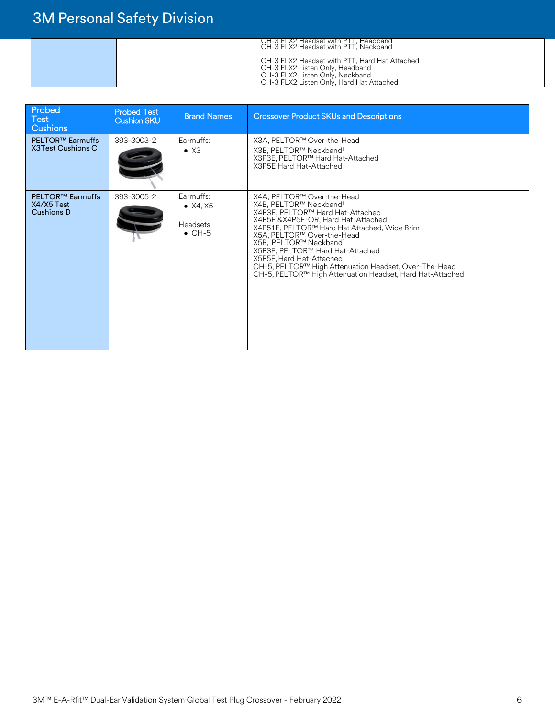| CH-3 FLX2 Headset with PTT, Headband<br>CH-3 FLX2 Headset with PTT, Neckband                                                                                    |
|-----------------------------------------------------------------------------------------------------------------------------------------------------------------|
| CH-3 FLX2 Headset with PTT, Hard Hat Attached<br>CH-3 FLX2 Listen Only, Headband<br>CH-3 FLX2 Listen Only, Neckband<br>CH-3 FLX2 Listen Only, Hard Hat Attached |

| Probed<br>Test<br><b>Cushions</b>                          | <b>Probed Test</b><br><b>Cushion SKU</b> | <b>Brand Names</b>                                     | <b>Crossover Product SKUs and Descriptions</b>                                                                                                                                                                                                                                                                                                                                                                                                        |
|------------------------------------------------------------|------------------------------------------|--------------------------------------------------------|-------------------------------------------------------------------------------------------------------------------------------------------------------------------------------------------------------------------------------------------------------------------------------------------------------------------------------------------------------------------------------------------------------------------------------------------------------|
| PELTOR <sup>™</sup> Earmuffs<br><b>X3Test Cushions C</b>   | 393-3003-2                               | Earmuffs:<br>$\bullet$ X3                              | X3A, PELTOR™ Over-the-Head<br>X3B, PELTOR™ Neckband <sup>1</sup><br>X3P3E, PELTOR™ Hard Hat-Attached<br>X3P5E Hard Hat-Attached                                                                                                                                                                                                                                                                                                                       |
| <b>PELTOR™ Earmuffs</b><br>X4/X5 Test<br><b>Cushions D</b> | 393-3005-2                               | Earmuffs:<br>• $X4, X5$<br>Headsets:<br>$\bullet$ CH-5 | X4A, PELTOR™ Over-the-Head<br>X4B, PELTOR™ Neckband <sup>1</sup><br>X4P3E, PELTOR™ Hard Hat-Attached<br>X4P5E & X4P5E-OR, Hard Hat-Attached<br>X4P51E, PELTOR™ Hard Hat Attached, Wide Brim<br>X5A, PELTOR™ Over-the-Head<br>X5B, PELTOR™ Neckband <sup>1</sup><br>X5P3E, PELTOR™ Hard Hat-Attached<br>X5P5E, Hard Hat-Attached<br>CH-5, PELTOR™ High Attenuation Headset, Over-The-Head<br>CH-5, PELTOR™ High Attenuation Headset, Hard Hat-Attached |